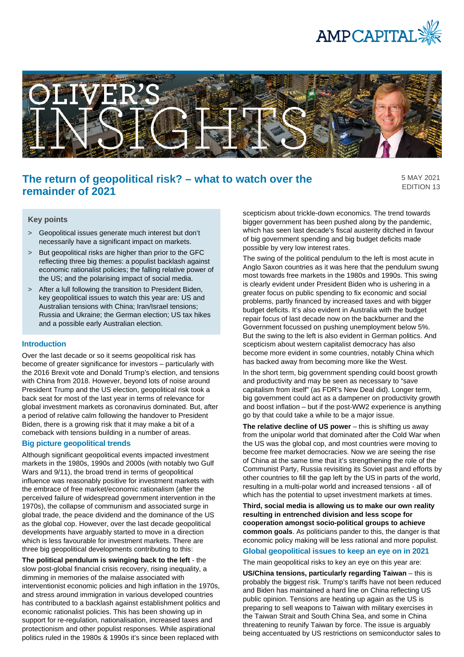



# **The return of geopolitical risk? – what to watch over the remainder of 2021**

5 MAY 2021 EDITION 13

## **Key points**

- > Geopolitical issues generate much interest but don't necessarily have a significant impact on markets.
- > But geopolitical risks are higher than prior to the GFC reflecting three big themes: a populist backlash against economic rationalist policies; the falling relative power of the US; and the polarising impact of social media.
- > After a lull following the transition to President Biden, key geopolitical issues to watch this year are: US and Australian tensions with China; Iran/Israel tensions; Russia and Ukraine; the German election; US tax hikes and a possible early Australian election.

#### **Introduction**

Over the last decade or so it seems geopolitical risk has become of greater significance for investors – particularly with the 2016 Brexit vote and Donald Trump's election, and tensions with China from 2018. However, beyond lots of noise around President Trump and the US election, geopolitical risk took a back seat for most of the last year in terms of relevance for global investment markets as coronavirus dominated. But, after a period of relative calm following the handover to President Biden, there is a growing risk that it may make a bit of a comeback with tensions building in a number of areas.

## **Big picture geopolitical trends**

Although significant geopolitical events impacted investment markets in the 1980s, 1990s and 2000s (with notably two Gulf Wars and 9/11), the broad trend in terms of geopolitical influence was reasonably positive for investment markets with the embrace of free market/economic rationalism (after the perceived failure of widespread government intervention in the 1970s), the collapse of communism and associated surge in global trade, the peace dividend and the dominance of the US as the global cop. However, over the last decade geopolitical developments have arguably started to move in a direction which is less favourable for investment markets. There are three big geopolitical developments contributing to this:

**The political pendulum is swinging back to the left** - the slow post-global financial crisis recovery, rising inequality, a dimming in memories of the malaise associated with interventionist economic policies and high inflation in the 1970s, and stress around immigration in various developed countries has contributed to a backlash against establishment politics and economic rationalist policies. This has been showing up in support for re-regulation, nationalisation, increased taxes and protectionism and other populist responses. While aspirational politics ruled in the 1980s & 1990s it's since been replaced with

scepticism about trickle-down economics. The trend towards bigger government has been pushed along by the pandemic, which has seen last decade's fiscal austerity ditched in favour of big government spending and big budget deficits made possible by very low interest rates.

The swing of the political pendulum to the left is most acute in Anglo Saxon countries as it was here that the pendulum swung most towards free markets in the 1980s and 1990s. This swing is clearly evident under President Biden who is ushering in a greater focus on public spending to fix economic and social problems, partly financed by increased taxes and with bigger budget deficits. It's also evident in Australia with the budget repair focus of last decade now on the backburner and the Government focussed on pushing unemployment below 5%. But the swing to the left is also evident in German politics. And scepticism about western capitalist democracy has also become more evident in some countries, notably China which has backed away from becoming more like the West.

In the short term, big government spending could boost growth and productivity and may be seen as necessary to "save capitalism from itself" (as FDR's New Deal did). Longer term, big government could act as a dampener on productivity growth and boost inflation – but if the post-WW2 experience is anything go by that could take a while to be a major issue.

**The relative decline of US power** – this is shifting us away from the unipolar world that dominated after the Cold War when the US was the global cop, and most countries were moving to become free market democracies. Now we are seeing the rise of China at the same time that it's strengthening the role of the Communist Party, Russia revisiting its Soviet past and efforts by other countries to fill the gap left by the US in parts of the world, resulting in a multi-polar world and increased tensions - all of which has the potential to upset investment markets at times.

**Third, social media is allowing us to make our own reality resulting in entrenched division and less scope for cooperation amongst socio-political groups to achieve common goals**. As politicians pander to this, the danger is that economic policy making will be less rational and more populist.

## **Global geopolitical issues to keep an eye on in 2021**

The main geopolitical risks to key an eye on this year are:

**US/China tensions, particularly regarding Taiwan** – this is probably the biggest risk. Trump's tariffs have not been reduced and Biden has maintained a hard line on China reflecting US public opinion. Tensions are heating up again as the US is preparing to sell weapons to Taiwan with military exercises in the Taiwan Strait and South China Sea, and some in China threatening to reunify Taiwan by force. The issue is arguably being accentuated by US restrictions on semiconductor sales to